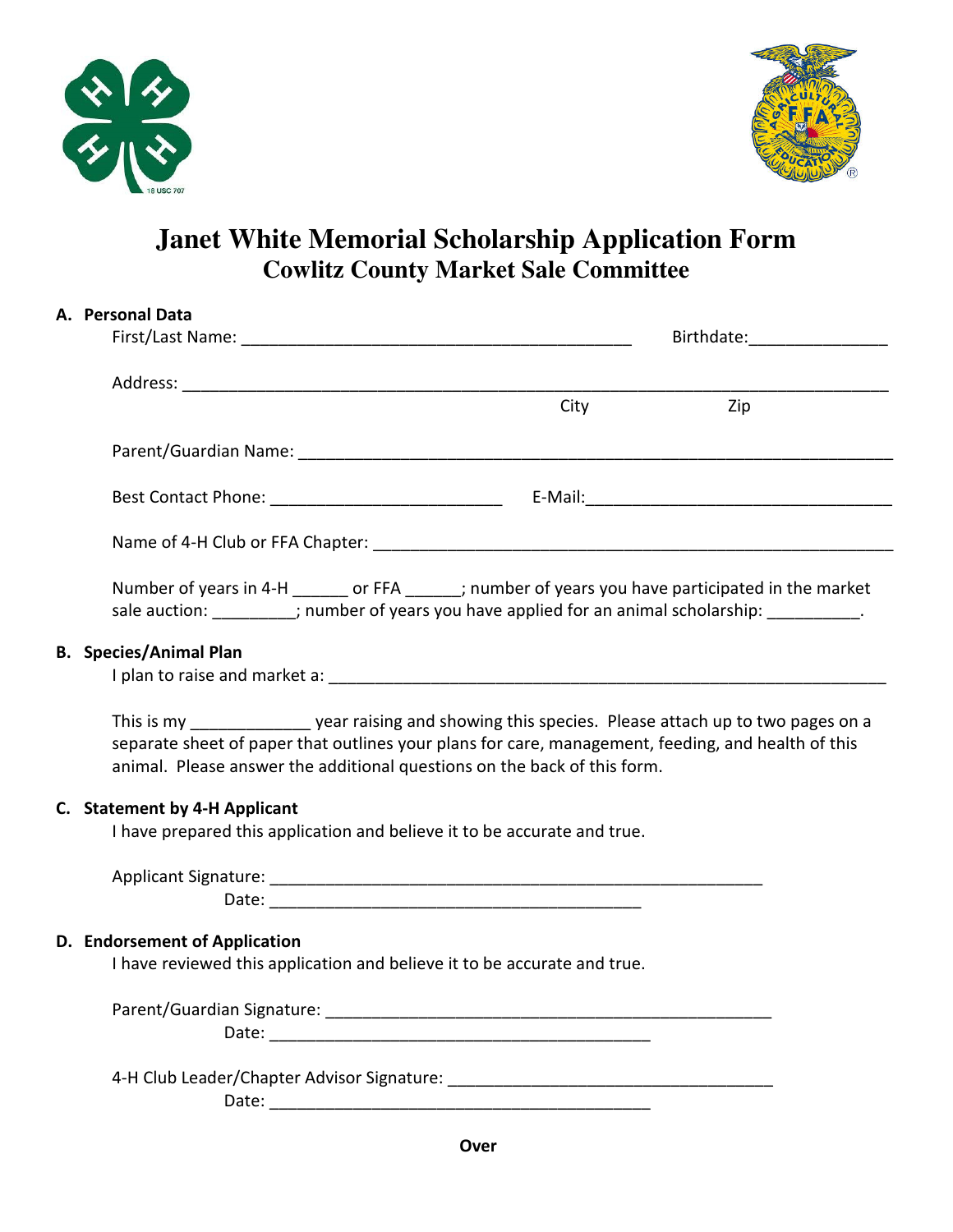



## **Janet White Memorial Scholarship Application Form Cowlitz County Market Sale Committee**

| A. Personal Data                                                                                                                                                                                                                                                                             |     |
|----------------------------------------------------------------------------------------------------------------------------------------------------------------------------------------------------------------------------------------------------------------------------------------------|-----|
|                                                                                                                                                                                                                                                                                              |     |
|                                                                                                                                                                                                                                                                                              |     |
| City                                                                                                                                                                                                                                                                                         | Zip |
|                                                                                                                                                                                                                                                                                              |     |
|                                                                                                                                                                                                                                                                                              |     |
|                                                                                                                                                                                                                                                                                              |     |
| Number of years in 4-H _______ or FFA ______; number of years you have participated in the market<br>sale auction: _________; number of years you have applied for an animal scholarship: __________.                                                                                        |     |
| <b>B.</b> Species/Animal Plan                                                                                                                                                                                                                                                                |     |
| This is my _____________________ year raising and showing this species. Please attach up to two pages on a<br>separate sheet of paper that outlines your plans for care, management, feeding, and health of this<br>animal. Please answer the additional questions on the back of this form. |     |
| C. Statement by 4-H Applicant<br>I have prepared this application and believe it to be accurate and true.                                                                                                                                                                                    |     |
|                                                                                                                                                                                                                                                                                              |     |
| D. Endorsement of Application<br>I have reviewed this application and believe it to be accurate and true.                                                                                                                                                                                    |     |
|                                                                                                                                                                                                                                                                                              |     |
|                                                                                                                                                                                                                                                                                              |     |